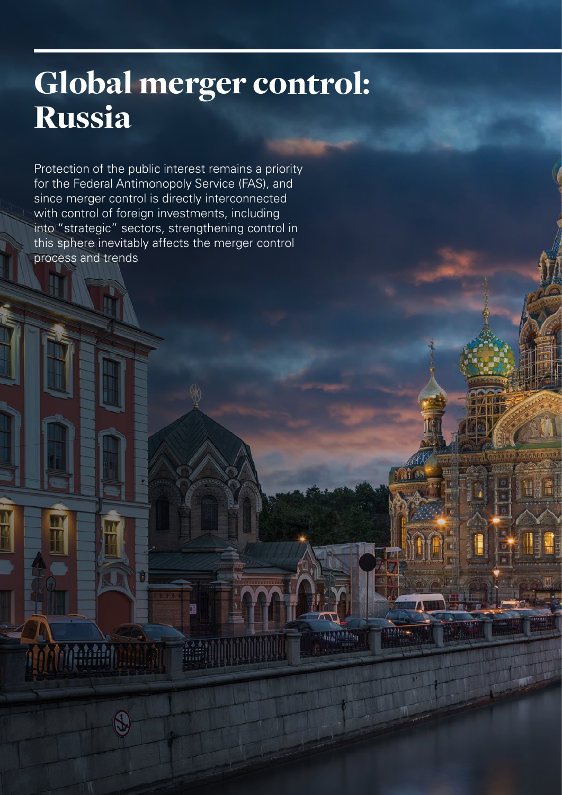## Global merger control: Russia stormy season storm

Protection of the public interest remains a priority for the Federal Antimonopoly Service (FAS), and since merger control is directly interconnected since merger control is directly interconnected<br>with control of foreign investments, including into "strategic" sectors, strengthening control in this sphere inevitably affects the merger control  $p$ rocess and trends at hit, voluptis ex  $p$  at  $q$ 

e arum cuptas doloria il provincia il provincia il provincia il provincia il provincia il provincia il provincia il provincia il provincia il provincia il provincia il provincia il provincia il provincia il provincia il pr

面

 $\mathbb{G}$ 

**The Million** 

et audit audit audit audit audit audit audit audit audit audit audit audit audit audit audit audit audit audit<br>Literatur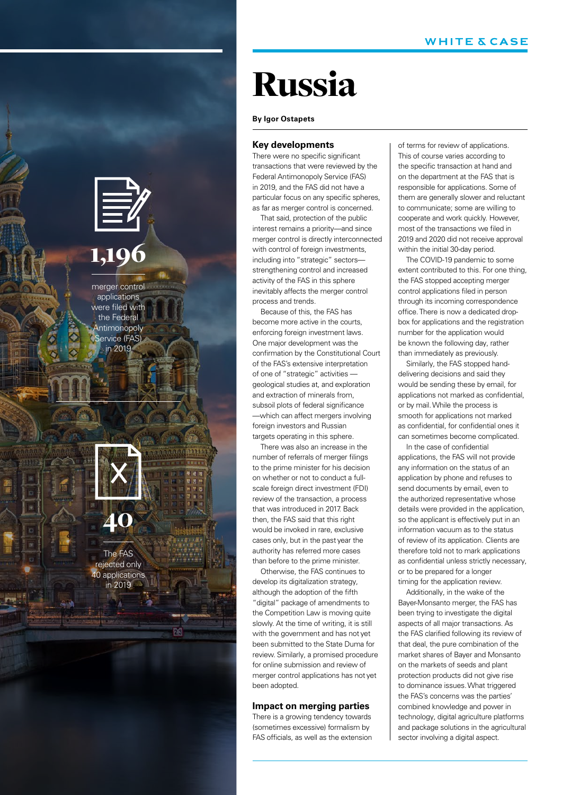

### 1,196

merger control were filed with the Federal Antimonopoly **Source: 12019** applications Service (FAS)

### $-40^\circ$ 40

The FAS dephod.org<br>in 2019 announced and the second second second second second second second second second second second second second second second second second second second second second second second second second second second second second s rejected only 40 applications

 $i$   $\mathcal{N}$ Source: **[Name of source]** 

### Russia

#### **By Igor Ostapets**

#### **Key developments**

There were no specific significant transactions that were reviewed by the Federal Antimonopoly Service (FAS) in 2019, and the FAS did not have a particular focus on any specific spheres, as far as merger control is concerned.

That said, protection of the public interest remains a priority—and since merger control is directly interconnected with control of foreign investments, including into "strategic" sectors strengthening control and increased activity of the FAS in this sphere inevitably affects the merger control process and trends.

Because of this, the FAS has become more active in the courts, enforcing foreign investment laws. One major development was the confirmation by the Constitutional Court of the FAS's extensive interpretation of one of "strategic" activities geological studies at, and exploration and extraction of minerals from, subsoil plots of federal significance —which can affect mergers involving foreign investors and Russian targets operating in this sphere.

There was also an increase in the number of referrals of merger filings to the prime minister for his decision on whether or not to conduct a fullscale foreign direct investment (FDI) review of the transaction, a process that was introduced in 2017. Back then, the FAS said that this right would be invoked in rare, exclusive cases only, but in the past year the authority has referred more cases than before to the prime minister.

Otherwise, the FAS continues to develop its digitalization strategy, although the adoption of the fifth "digital" package of amendments to the Competition Law is moving quite slowly. At the time of writing, it is still with the government and has not yet been submitted to the State Duma for review. Similarly, a promised procedure for online submission and review of merger control applications has not yet been adopted.

#### **Impact on merging parties**

There is a growing tendency towards (sometimes excessive) formalism by FAS officials, as well as the extension of terms for review of applications. This of course varies according to the specific transaction at hand and on the department at the FAS that is responsible for applications. Some of them are generally slower and reluctant to communicate; some are willing to cooperate and work quickly. However, most of the transactions we filed in 2019 and 2020 did not receive approval within the initial 30-day period.

The COVID-19 pandemic to some extent contributed to this. For one thing, the FAS stopped accepting merger control applications filed in person through its incoming correspondence office. There is now a dedicated dropbox for applications and the registration number for the application would be known the following day, rather than immediately as previously.

Similarly, the FAS stopped handdelivering decisions and said they would be sending these by email, for applications not marked as confidential, or by mail. While the process is smooth for applications not marked as confidential, for confidential ones it can sometimes become complicated.

In the case of confidential applications, the FAS will not provide any information on the status of an application by phone and refuses to send documents by email, even to the authorized representative whose details were provided in the application, so the applicant is effectively put in an information vacuum as to the status of review of its application. Clients are therefore told not to mark applications as confidential unless strictly necessary, or to be prepared for a longer timing for the application review.

Additionally, in the wake of the Bayer-Monsanto merger, the FAS has been trying to investigate the digital aspects of all major transactions. As the FAS clarified following its review of that deal, the pure combination of the market shares of Bayer and Monsanto on the markets of seeds and plant protection products did not give rise to dominance issues. What triggered the FAS's concerns was the parties' combined knowledge and power in technology, digital agriculture platforms and package solutions in the agricultural sector involving a digital aspect.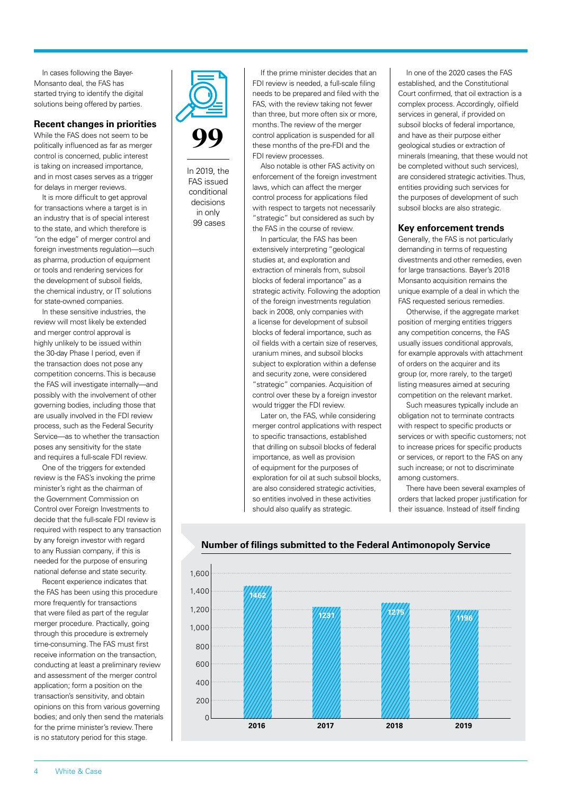In cases following the Bayer-Monsanto deal, the FAS has started trying to identify the digital solutions being offered by parties.

#### **Recent changes in priorities**

While the FAS does not seem to be politically influenced as far as merger control is concerned, public interest is taking on increased importance, and in most cases serves as a trigger for delays in merger reviews.

It is more difficult to get approval for transactions where a target is in an industry that is of special interest to the state, and which therefore is "on the edge" of merger control and foreign investments regulation—such as pharma, production of equipment or tools and rendering services for the development of subsoil fields, the chemical industry, or IT solutions for state-owned companies.

In these sensitive industries, the review will most likely be extended and merger control approval is highly unlikely to be issued within the 30-day Phase I period, even if the transaction does not pose any competition concerns. This is because the FAS will investigate internally—and possibly with the involvement of other governing bodies, including those that are usually involved in the FDI review process, such as the Federal Security Service—as to whether the transaction poses any sensitivity for the state and requires a full-scale FDI review.

One of the triggers for extended review is the FAS's invoking the prime minister's right as the chairman of the Government Commission on Control over Foreign Investments to decide that the full-scale FDI review is required with respect to any transaction by any foreign investor with regard to any Russian company, if this is needed for the purpose of ensuring national defense and state security.

Recent experience indicates that the FAS has been using this procedure more frequently for transactions that were filed as part of the regular merger procedure. Practically, going through this procedure is extremely time-consuming. The FAS must first receive information on the transaction, conducting at least a preliminary review and assessment of the merger control application; form a position on the transaction's sensitivity, and obtain opinions on this from various governing bodies; and only then send the materials for the prime minister's review. There is no statutory period for this stage.



In 2019, the FAS issued conditional decisions in only 99 cases

If the prime minister decides that an FDI review is needed, a full-scale filing needs to be prepared and filed with the FAS, with the review taking not fewer than three, but more often six or more, months. The review of the merger control application is suspended for all these months of the pre-FDI and the FDI review processes.

Also notable is other FAS activity on enforcement of the foreign investment laws, which can affect the merger control process for applications filed with respect to targets not necessarily "strategic" but considered as such by the FAS in the course of review.

In particular, the FAS has been extensively interpreting "geological studies at, and exploration and extraction of minerals from, subsoil blocks of federal importance" as a strategic activity. Following the adoption of the foreign investments regulation back in 2008, only companies with a license for development of subsoil blocks of federal importance, such as oil fields with a certain size of reserves, uranium mines, and subsoil blocks subject to exploration within a defense and security zone, were considered "strategic" companies. Acquisition of control over these by a foreign investor would trigger the FDI review.

Later on, the FAS, while considering merger control applications with respect to specific transactions, established that drilling on subsoil blocks of federal importance, as well as provision of equipment for the purposes of exploration for oil at such subsoil blocks, are also considered strategic activities so entities involved in these activities should also qualify as strategic.

In one of the 2020 cases the FAS established, and the Constitutional Court confirmed, that oil extraction is a complex process. Accordingly, oilfield services in general, if provided on subsoil blocks of federal importance, and have as their purpose either geological studies or extraction of minerals (meaning, that these would not be completed without such services), are considered strategic activities. Thus, entities providing such services for the purposes of development of such subsoil blocks are also strategic.

#### **Key enforcement trends**

Generally, the FAS is not particularly demanding in terms of requesting divestments and other remedies, even for large transactions. Bayer's 2018 Monsanto acquisition remains the unique example of a deal in which the FAS requested serious remedies.

Otherwise, if the aggregate market position of merging entities triggers any competition concerns, the FAS usually issues conditional approvals, for example approvals with attachment of orders on the acquirer and its group (or, more rarely, to the target) listing measures aimed at securing competition on the relevant market.

Such measures typically include an obligation not to terminate contracts with respect to specific products or services or with specific customers; not to increase prices for specific products or services, or report to the FAS on any such increase; or not to discriminate among customers.

There have been several examples of orders that lacked proper justification for their issuance. Instead of itself finding



#### **Number of filings submitted to the Federal Antimonopoly Service**